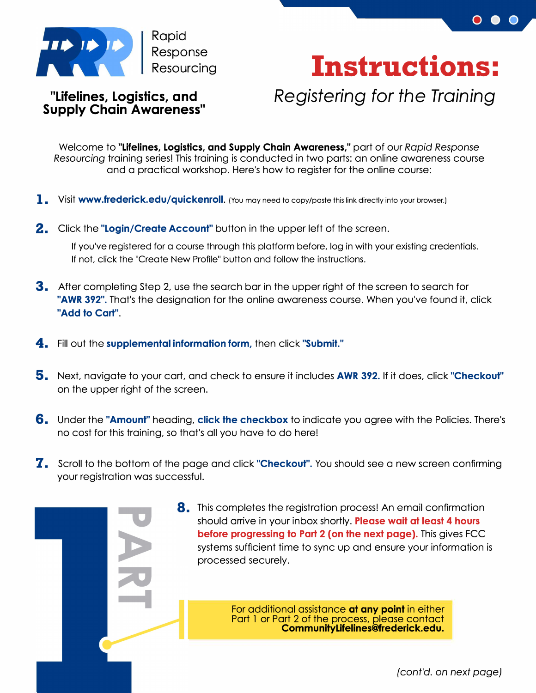



 $\circ\bullet\bullet$ 

## **"Lifelines, Logistics, and Supply Chain Awareness"**

*Registering for the Training* 

Welcome to "Lifelines, Logistics, and Supply Chain Awareness," part of our *Rapid Response Resourcing* training series! This training is conducted in two parts: an online awareness course and a practical workshop. Here's how to register for the online course:

- **1.** Visit www.frederick.edu/quickenroll. (You may need to copy/paste this link directly into your browser.)
- **2.** Click the "Login/Create Account" button in the upper left of the screen.

If you've registered for a course through this platform before, log in with your existing credentials. If not, click the "Create New Profile" button and follow the instructions.

- **3.** After completing Step 2, use the search bar in the upper right of the screen to search for "AWR 392". That's the designation for the online awareness course. When you've found it, click "Add to Cart".
- **4.** Fill out the supplemental information form, then click "Submit."
- **5.** Next, navigate to your cart, and check to ensure it includes AWR 392. If it does, click "Checkout" on the upper right of the screen.
- **6.** Under the "**Amount**" heading, **click the checkbox** to indicate you agree with the Policies. There's no cost for this training, so that's all you have to do here!
- **7.** Scroll to the bottom of the page and click "Checkout". You should see a new screen confirming your registration was successful.

**8.** This completes the registration process! An email confirmation should arrive in your inbox shortly. Please wait at least 4 hours before progressing to Part 2 (on the next page). This gives FCC systems sufficient time to sync up and ensure your information is processed securely.

> For additional assistance **at any point** in either Part 1 or Part 2 of the process, please contact CommunityLifelines@frederick.edu.